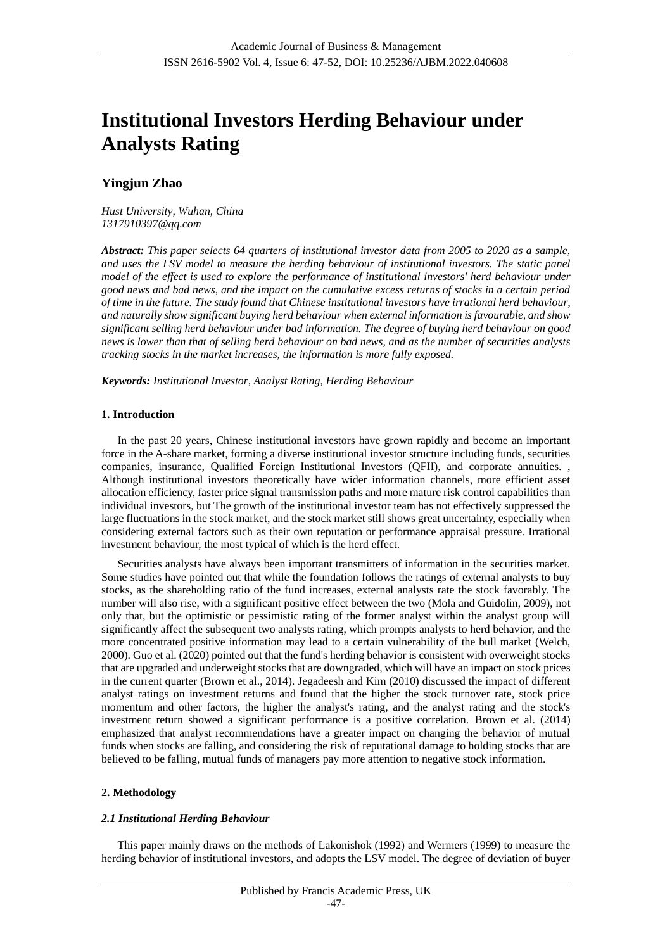# **Institutional Investors Herding Behaviour under Analysts Rating**

# **Yingjun Zhao**

*Hust University, Wuhan, China 1317910397@qq.com*

*Abstract: This paper selects 64 quarters of institutional investor data from 2005 to 2020 as a sample, and uses the LSV model to measure the herding behaviour of institutional investors. The static panel model of the effect is used to explore the performance of institutional investors' herd behaviour under good news and bad news, and the impact on the cumulative excess returns of stocks in a certain period of time in the future. The study found that Chinese institutional investors have irrational herd behaviour, and naturally show significant buying herd behaviour when external information is favourable, and show significant selling herd behaviour under bad information. The degree of buying herd behaviour on good news is lower than that of selling herd behaviour on bad news, and as the number of securities analysts tracking stocks in the market increases, the information is more fully exposed.* 

*Keywords: Institutional Investor, Analyst Rating, Herding Behaviour*

## **1. Introduction**

In the past 20 years, Chinese institutional investors have grown rapidly and become an important force in the A-share market, forming a diverse institutional investor structure including funds, securities companies, insurance, Qualified Foreign Institutional Investors (QFII), and corporate annuities. , Although institutional investors theoretically have wider information channels, more efficient asset allocation efficiency, faster price signal transmission paths and more mature risk control capabilities than individual investors, but The growth of the institutional investor team has not effectively suppressed the large fluctuations in the stock market, and the stock market still shows great uncertainty, especially when considering external factors such as their own reputation or performance appraisal pressure. Irrational investment behaviour, the most typical of which is the herd effect.

Securities analysts have always been important transmitters of information in the securities market. Some studies have pointed out that while the foundation follows the ratings of external analysts to buy stocks, as the shareholding ratio of the fund increases, external analysts rate the stock favorably. The number will also rise, with a significant positive effect between the two (Mola and Guidolin, 2009), not only that, but the optimistic or pessimistic rating of the former analyst within the analyst group will significantly affect the subsequent two analysts rating, which prompts analysts to herd behavior, and the more concentrated positive information may lead to a certain vulnerability of the bull market (Welch, 2000). Guo et al. (2020) pointed out that the fund's herding behavior is consistent with overweight stocks that are upgraded and underweight stocks that are downgraded, which will have an impact on stock prices in the current quarter (Brown et al., 2014). Jegadeesh and Kim (2010) discussed the impact of different analyst ratings on investment returns and found that the higher the stock turnover rate, stock price momentum and other factors, the higher the analyst's rating, and the analyst rating and the stock's investment return showed a significant performance is a positive correlation. Brown et al. (2014) emphasized that analyst recommendations have a greater impact on changing the behavior of mutual funds when stocks are falling, and considering the risk of reputational damage to holding stocks that are believed to be falling, mutual funds of managers pay more attention to negative stock information.

## **2. Methodology**

## *2.1 Institutional Herding Behaviour*

This paper mainly draws on the methods of Lakonishok (1992) and Wermers (1999) to measure the herding behavior of institutional investors, and adopts the LSV model. The degree of deviation of buyer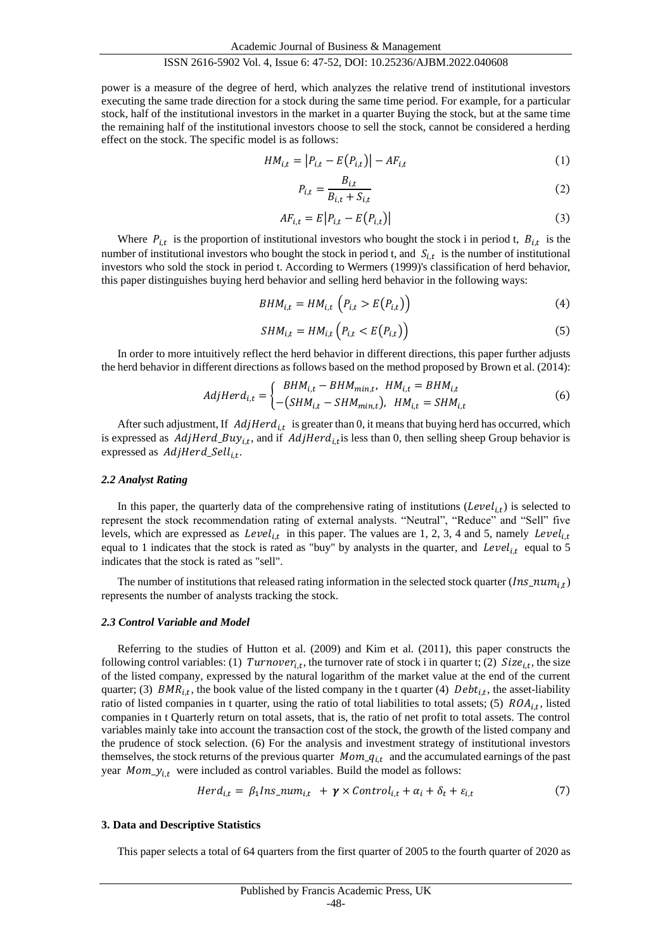power is a measure of the degree of herd, which analyzes the relative trend of institutional investors executing the same trade direction for a stock during the same time period. For example, for a particular stock, half of the institutional investors in the market in a quarter Buying the stock, but at the same time the remaining half of the institutional investors choose to sell the stock, cannot be considered a herding effect on the stock. The specific model is as follows:

$$
HM_{i,t} = |P_{i,t} - E(P_{i,t})| - AF_{i,t}
$$
\n(1)

$$
P_{i,t} = \frac{B_{i,t}}{B_{i,t} + S_{i,t}}\tag{2}
$$

$$
AF_{i,t} = E\left|P_{i,t} - E\left(P_{i,t}\right)\right| \tag{3}
$$

Where  $P_{i,t}$  is the proportion of institutional investors who bought the stock i in period t,  $B_{i,t}$  is the number of institutional investors who bought the stock in period t, and  $S_{i,t}$  is the number of institutional investors who sold the stock in period t. According to Wermers (1999)'s classification of herd behavior, this paper distinguishes buying herd behavior and selling herd behavior in the following ways:

$$
BHM_{i,t} = HM_{i,t} \left( P_{i,t} > E(P_{i,t}) \right) \tag{4}
$$

$$
SHM_{i,t} = HM_{i,t} \left( P_{i,t} < E\left( P_{i,t} \right) \right) \tag{5}
$$

In order to more intuitively reflect the herd behavior in different directions, this paper further adjusts the herd behavior in different directions as follows based on the method proposed by Brown et al. (2014):

$$
AdjHerd_{i,t} = \begin{cases} BHM_{i,t} - BHM_{min,t}, \quad HM_{i,t} = BHM_{i,t} \\ -(SHM_{i,t} - SHM_{min,t}), \quad HM_{i,t} = SHM_{i,t} \end{cases}
$$
 (6)

After such adjustment, If  $\text{AdjHerd}_{i,t}$  is greater than 0, it means that buying herd has occurred, which is expressed as  $AdjHerd_Buy_{i,t}$ , and if  $AdjHerd_{i,t}$  is less than 0, then selling sheep Group behavior is expressed as  $\textit{AdjHerd\_Sell}_{i,t}$ .

#### *2.2 Analyst Rating*

In this paper, the quarterly data of the comprehensive rating of institutions  $(Level_{i,t})$  is selected to represent the stock recommendation rating of external analysts. "Neutral", "Reduce" and "Sell" five levels, which are expressed as  $Level_{i,t}$  in this paper. The values are 1, 2, 3, 4 and 5, namely  $Level_{i,t}$ equal to 1 indicates that the stock is rated as "buy" by analysts in the quarter, and Level<sub>it</sub> equal to 5 indicates that the stock is rated as "sell".

The number of institutions that released rating information in the selected stock quarter  $(Ins\_num_{i,t})$ represents the number of analysts tracking the stock.

#### *2.3 Control Variable and Model*

Referring to the studies of Hutton et al. (2009) and Kim et al. (2011), this paper constructs the following control variables: (1)  $Turnover_{i,t}$ , the turnover rate of stock i in quarter t; (2)  $Size_{i,t}$ , the size of the listed company, expressed by the natural logarithm of the market value at the end of the current quarter; (3)  $BMR_{i,t}$ , the book value of the listed company in the t quarter (4)  $Debt_{i,t}$ , the asset-liability ratio of listed companies in t quarter, using the ratio of total liabilities to total assets; (5)  $ROA_{i,t}$ , listed companies in t Quarterly return on total assets, that is, the ratio of net profit to total assets. The control variables mainly take into account the transaction cost of the stock, the growth of the listed company and the prudence of stock selection. (6) For the analysis and investment strategy of institutional investors themselves, the stock returns of the previous quarter  $Mom_q_{i,t}$  and the accumulated earnings of the past year  $Mom_y_{i,t}$  were included as control variables. Build the model as follows:

$$
Herd_{i,t} = \beta_1 Ins\_num_{i,t} + \gamma \times Control_{i,t} + \alpha_i + \delta_t + \varepsilon_{i,t}
$$
\n<sup>(7)</sup>

#### **3. Data and Descriptive Statistics**

This paper selects a total of 64 quarters from the first quarter of 2005 to the fourth quarter of 2020 as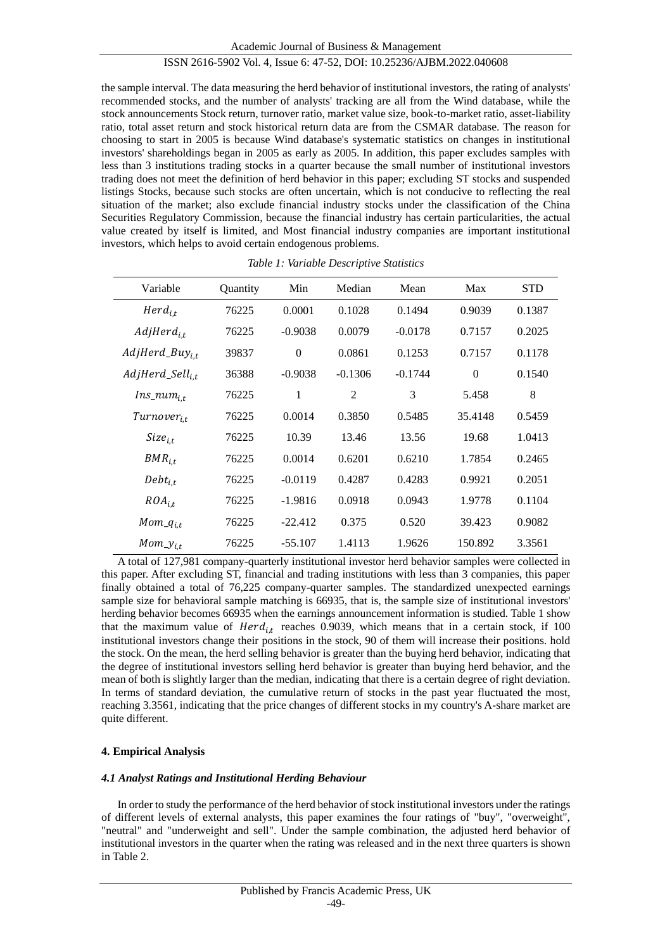the sample interval. The data measuring the herd behavior of institutional investors, the rating of analysts' recommended stocks, and the number of analysts' tracking are all from the Wind database, while the stock announcements Stock return, turnover ratio, market value size, book-to-market ratio, asset-liability ratio, total asset return and stock historical return data are from the CSMAR database. The reason for choosing to start in 2005 is because Wind database's systematic statistics on changes in institutional investors' shareholdings began in 2005 as early as 2005. In addition, this paper excludes samples with less than 3 institutions trading stocks in a quarter because the small number of institutional investors trading does not meet the definition of herd behavior in this paper; excluding ST stocks and suspended listings Stocks, because such stocks are often uncertain, which is not conducive to reflecting the real situation of the market; also exclude financial industry stocks under the classification of the China Securities Regulatory Commission, because the financial industry has certain particularities, the actual value created by itself is limited, and Most financial industry companies are important institutional investors, which helps to avoid certain endogenous problems.

| Variable                    | Quantity | Min       | Median         | Mean      | Max      | <b>STD</b> |
|-----------------------------|----------|-----------|----------------|-----------|----------|------------|
| $Herd_{i.t}$                | 76225    | 0.0001    | 0.1028         | 0.1494    | 0.9039   | 0.1387     |
| $AdjHerd_{i.t.}$            | 76225    | $-0.9038$ | 0.0079         | $-0.0178$ | 0.7157   | 0.2025     |
| $AdjHerd_Buy_{i,t}$         | 39837    | $\theta$  | 0.0861         | 0.1253    | 0.7157   | 0.1178     |
| AdjHerd_Sell <sub>i.t</sub> | 36388    | $-0.9038$ | $-0.1306$      | $-0.1744$ | $\Omega$ | 0.1540     |
| $Ins\_num_{i,t}$            | 76225    | 1         | $\overline{c}$ | 3         | 5.458    | 8          |
| $Turnover_{i.t}$            | 76225    | 0.0014    | 0.3850         | 0.5485    | 35.4148  | 0.5459     |
| $Size_{i.t.}$               | 76225    | 10.39     | 13.46          | 13.56     | 19.68    | 1.0413     |
| $BMR_{i.t}$                 | 76225    | 0.0014    | 0.6201         | 0.6210    | 1.7854   | 0.2465     |
| $Debt_{i.t}$                | 76225    | $-0.0119$ | 0.4287         | 0.4283    | 0.9921   | 0.2051     |
| $ROA_{i.t}$                 | 76225    | $-1.9816$ | 0.0918         | 0.0943    | 1.9778   | 0.1104     |
| $Mom_q_{i,t}$               | 76225    | $-22.412$ | 0.375          | 0.520     | 39.423   | 0.9082     |
| $Mom_y_{i,t}$               | 76225    | $-55.107$ | 1.4113         | 1.9626    | 150.892  | 3.3561     |

*Table 1: Variable Descriptive Statistics*

A total of 127,981 company-quarterly institutional investor herd behavior samples were collected in this paper. After excluding ST, financial and trading institutions with less than 3 companies, this paper finally obtained a total of 76,225 company-quarter samples. The standardized unexpected earnings sample size for behavioral sample matching is 66935, that is, the sample size of institutional investors' herding behavior becomes 66935 when the earnings announcement information is studied. Table 1 show that the maximum value of  $Herd_{i,t}$  reaches 0.9039, which means that in a certain stock, if 100 institutional investors change their positions in the stock, 90 of them will increase their positions. hold the stock. On the mean, the herd selling behavior is greater than the buying herd behavior, indicating that the degree of institutional investors selling herd behavior is greater than buying herd behavior, and the mean of both is slightly larger than the median, indicating that there is a certain degree of right deviation. In terms of standard deviation, the cumulative return of stocks in the past year fluctuated the most, reaching 3.3561, indicating that the price changes of different stocks in my country's A-share market are quite different.

## **4. Empirical Analysis**

## *4.1 Analyst Ratings and Institutional Herding Behaviour*

In order to study the performance of the herd behavior of stock institutional investors under the ratings of different levels of external analysts, this paper examines the four ratings of "buy", "overweight", "neutral" and "underweight and sell". Under the sample combination, the adjusted herd behavior of institutional investors in the quarter when the rating was released and in the next three quarters is shown in Table 2.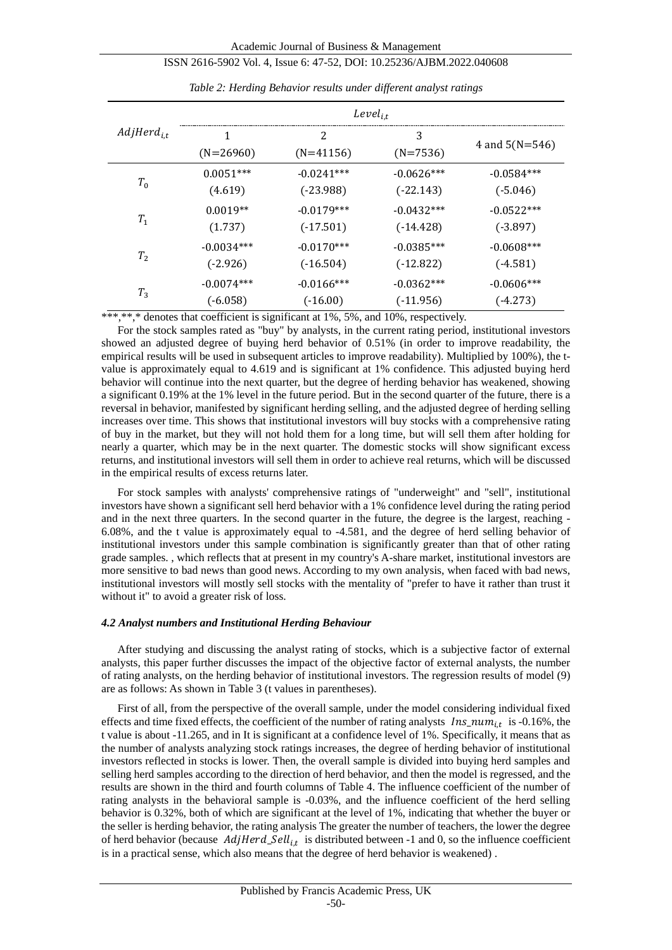|                 | $Level_{i.t}$    |                  |                 |                  |  |  |
|-----------------|------------------|------------------|-----------------|------------------|--|--|
| $AdjHerd_{i.t}$ | 1<br>$(N=26960)$ | 2<br>$(N=41156)$ | 3<br>$(N=7536)$ | 4 and $5(N=546)$ |  |  |
| $T_0$           | $0.0051***$      | $-0.0241***$     | $-0.0626***$    | $-0.0584***$     |  |  |
|                 | (4.619)          | $(-23.988)$      | $(-22.143)$     | $(-5.046)$       |  |  |
| $T_1$           | $0.0019**$       | $-0.0179***$     | $-0.0432***$    | $-0.0522***$     |  |  |
|                 | (1.737)          | $(-17.501)$      | $(-14.428)$     | $(-3.897)$       |  |  |
| $T_{2}$         | $-0.0034***$     | $-0.0170***$     | $-0.0385***$    | $-0.0608***$     |  |  |
|                 | $(-2.926)$       | $(-16.504)$      | $(-12.822)$     | $(-4.581)$       |  |  |
| $T_3$           | $-0.0074***$     | $-0.0166$ ***    | $-0.0362***$    | $-0.0606***$     |  |  |
|                 | (-6.058)         | $(-16.00)$       | (-11.956)       | $(-4.273)$       |  |  |

| Table 2: Herding Behavior results under different analyst ratings |  |  |  |
|-------------------------------------------------------------------|--|--|--|
|                                                                   |  |  |  |

\*\*\*,\*\*,\* denotes that coefficient is significant at 1%, 5%, and 10%, respectively.

For the stock samples rated as "buy" by analysts, in the current rating period, institutional investors showed an adjusted degree of buying herd behavior of 0.51% (in order to improve readability, the empirical results will be used in subsequent articles to improve readability). Multiplied by 100%), the tvalue is approximately equal to 4.619 and is significant at 1% confidence. This adjusted buying herd behavior will continue into the next quarter, but the degree of herding behavior has weakened, showing a significant 0.19% at the 1% level in the future period. But in the second quarter of the future, there is a reversal in behavior, manifested by significant herding selling, and the adjusted degree of herding selling increases over time. This shows that institutional investors will buy stocks with a comprehensive rating of buy in the market, but they will not hold them for a long time, but will sell them after holding for nearly a quarter, which may be in the next quarter. The domestic stocks will show significant excess returns, and institutional investors will sell them in order to achieve real returns, which will be discussed in the empirical results of excess returns later.

For stock samples with analysts' comprehensive ratings of "underweight" and "sell", institutional investors have shown a significant sell herd behavior with a 1% confidence level during the rating period and in the next three quarters. In the second quarter in the future, the degree is the largest, reaching - 6.08%, and the t value is approximately equal to -4.581, and the degree of herd selling behavior of institutional investors under this sample combination is significantly greater than that of other rating grade samples. , which reflects that at present in my country's A-share market, institutional investors are more sensitive to bad news than good news. According to my own analysis, when faced with bad news, institutional investors will mostly sell stocks with the mentality of "prefer to have it rather than trust it without it" to avoid a greater risk of loss.

#### *4.2 Analyst numbers and Institutional Herding Behaviour*

After studying and discussing the analyst rating of stocks, which is a subjective factor of external analysts, this paper further discusses the impact of the objective factor of external analysts, the number of rating analysts, on the herding behavior of institutional investors. The regression results of model (9) are as follows: As shown in Table 3 (t values in parentheses).

First of all, from the perspective of the overall sample, under the model considering individual fixed effects and time fixed effects, the coefficient of the number of rating analysts  $Ins\_num_{i,t}$  is -0.16%, the t value is about -11.265, and in It is significant at a confidence level of 1%. Specifically, it means that as the number of analysts analyzing stock ratings increases, the degree of herding behavior of institutional investors reflected in stocks is lower. Then, the overall sample is divided into buying herd samples and selling herd samples according to the direction of herd behavior, and then the model is regressed, and the results are shown in the third and fourth columns of Table 4. The influence coefficient of the number of rating analysts in the behavioral sample is -0.03%, and the influence coefficient of the herd selling behavior is 0.32%, both of which are significant at the level of 1%, indicating that whether the buyer or the seller is herding behavior, the rating analysis The greater the number of teachers, the lower the degree of herd behavior (because  $\text{AdjHerd}\_\text{Set}$  is distributed between -1 and 0, so the influence coefficient is in a practical sense, which also means that the degree of herd behavior is weakened) .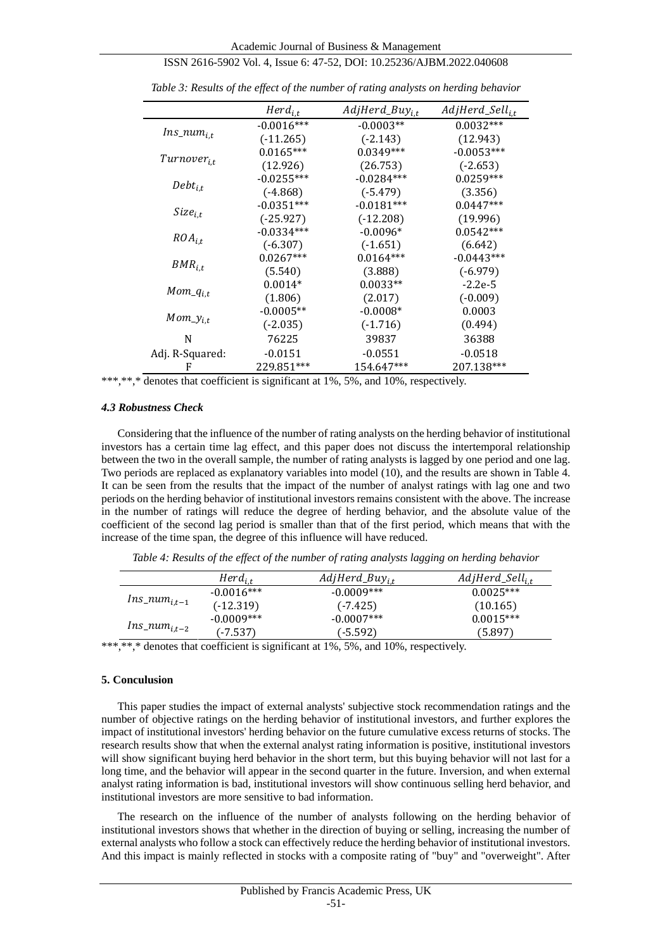|                         | $Herd_{i.t}$ | $AdjHerd_Buy_{i,t}$ | AdjHerd_Sell <sub>i.t</sub> |
|-------------------------|--------------|---------------------|-----------------------------|
| $Ins\_num_{i.t}$        | $-0.0016***$ | $-0.0003**$         | $0.0032***$                 |
|                         | $(-11.265)$  | $(-2.143)$          | (12.943)                    |
|                         | $0.0165***$  | $0.0349***$         | $-0.0053***$                |
| Turnover <sub>i.t</sub> | (12.926)     | (26.753)            | $(-2.653)$                  |
|                         | $-0.0255***$ | $-0.0284***$        | $0.0259***$                 |
| $Debt_{i,t}$            | $(-4.868)$   | $(-5.479)$          | (3.356)                     |
|                         | $-0.0351***$ | $-0.0181***$        | $0.0447***$                 |
| $Size_{i,t}$            | $(-25.927)$  | $(-12.208)$         | (19.996)                    |
|                         | $-0.0334***$ | $-0.0096*$          | $0.0542***$                 |
| $ROA_{i.t}$             | $(-6.307)$   | $(-1.651)$          | (6.642)                     |
|                         | $0.0267***$  | $0.0164***$         | $-0.0443***$                |
| $BMR_{i.t}$             | (5.540)      | (3.888)             | $(-6.979)$                  |
|                         | $0.0014*$    | $0.0033**$          | $-2.2e-5$                   |
| $Mom_q_{i,t}$           | (1.806)      | (2.017)             | $(-0.009)$                  |
| $Mom_y$ <sub>i,t</sub>  | $-0.0005**$  | $-0.0008*$          | 0.0003                      |
|                         | $(-2.035)$   | $(-1.716)$          | (0.494)                     |
| N                       | 76225        | 39837               | 36388                       |
| Adj. R-Squared:         | $-0.0151$    | $-0.0551$           | $-0.0518$                   |
| F                       | 229.851***   | 154.647***          | 207.138***                  |

| Table 3: Results of the effect of the number of rating analysts on herding behavior |  |  |
|-------------------------------------------------------------------------------------|--|--|

\*\*\*,\*\*,\* denotes that coefficient is significant at 1%, 5%, and 10%, respectively.

#### *4.3 Robustness Check*

Considering that the influence of the number of rating analysts on the herding behavior of institutional investors has a certain time lag effect, and this paper does not discuss the intertemporal relationship between the two in the overall sample, the number of rating analysts is lagged by one period and one lag. Two periods are replaced as explanatory variables into model (10), and the results are shown in Table 4. It can be seen from the results that the impact of the number of analyst ratings with lag one and two periods on the herding behavior of institutional investors remains consistent with the above. The increase in the number of ratings will reduce the degree of herding behavior, and the absolute value of the coefficient of the second lag period is smaller than that of the first period, which means that with the increase of the time span, the degree of this influence will have reduced.

*Table 4: Results of the effect of the number of rating analysts lagging on herding behavior*

|                    | $Herd_{i,t}$ | $AdjHerd_Buy_{i,t}$ | AdjHerd_Sell <sub>i.t</sub> |
|--------------------|--------------|---------------------|-----------------------------|
| $Ins\_num_{i,t-1}$ | $-0.0016***$ | $-0.0009***$        | $0.0025***$                 |
|                    | (-12.319)    | $(-7.425)$          | (10.165)                    |
| $Ins\_num_{i,t-2}$ | $-0.0009***$ | $-0.0007***$        | $0.0015***$                 |
|                    | (-7.537-     | (-5.592)            | (5.897)                     |

\*\*\*,\*\*,\* denotes that coefficient is significant at 1%, 5%, and 10%, respectively.

#### **5. Conculusion**

This paper studies the impact of external analysts' subjective stock recommendation ratings and the number of objective ratings on the herding behavior of institutional investors, and further explores the impact of institutional investors' herding behavior on the future cumulative excess returns of stocks. The research results show that when the external analyst rating information is positive, institutional investors will show significant buying herd behavior in the short term, but this buying behavior will not last for a long time, and the behavior will appear in the second quarter in the future. Inversion, and when external analyst rating information is bad, institutional investors will show continuous selling herd behavior, and institutional investors are more sensitive to bad information.

The research on the influence of the number of analysts following on the herding behavior of institutional investors shows that whether in the direction of buying or selling, increasing the number of external analysts who follow a stock can effectively reduce the herding behavior of institutional investors. And this impact is mainly reflected in stocks with a composite rating of "buy" and "overweight". After